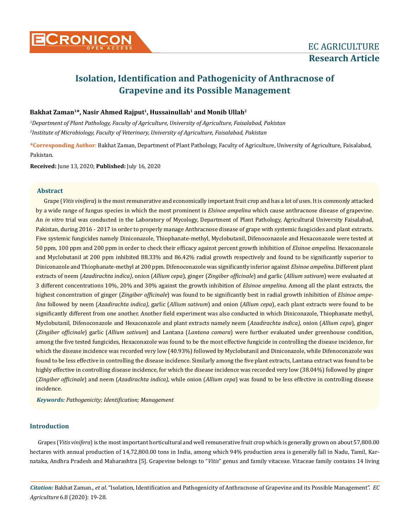# **Isolation, Identification and Pathogenicity of Anthracnose of Grapevine and its Possible Management**

# **Bakhat Zaman<sup>1</sup>\*, Nasir Ahmed Rajput<sup>1</sup>, Hussainullah<sup>1</sup> and Monib Ullah<sup>2</sup>**

*1 Department of Plant Pathology, Faculty of Agriculture, University of Agriculture, Faisalabad, Pakistan 2 Institute of Microbiology, Faculty of Veterinary, University of Agriculture, Faisalabad, Pakistan* 

**\*Corresponding Author**: Bakhat Zaman, Department of Plant Pathology, Faculty of Agriculture, University of Agriculture, Faisalabad, Pakistan.

**Received:** June 13, 2020; **Published:** July 16, 2020

## **Abstract**

Grape (*Vitis vinifera*) is the most remunerative and economically important fruit crop and has a lot of uses. It is commonly attacked by a wide range of fungus species in which the most prominent is *Elsinoe ampelina* which cause anthracnose disease of grapevine. An *in vitro* trial was conducted in the Laboratory of Mycology, Department of Plant Pathology, Agricultural University Faisalabad, Pakistan, during 2016 - 2017 in order to properly manage Anthracnose disease of grape with systemic fungicides and plant extracts. Five systemic fungicides namely Diniconazole, Thiophanate-methyl, Myclobutanil, Difenoconazole and Hexaconazole were tested at 50 ppm, 100 ppm and 200 ppm in order to check their efficacy against percent growth inhibition of *Elsinoe ampelina*. Hexaconazole and Myclobutanil at 200 ppm inhibited 88.33% and 86.42% radial growth respectively and found to be significantly superior to Diniconazole and Thiophanate-methyl at 200 ppm. Difenoconazole was significantly inferior against *Elsinoe ampelina*. Different plant extracts of neem (*Azadirachta indica)*, onion (*Allium cepa*), ginger (*Zingiber officinale*) and garlic (*Allium sativum*) were evaluated at 3 different concentrations 10%, 20% and 30% against the growth inhibition of *Elsinoe ampelina*. Among all the plant extracts, the highest concentration of ginger (*Zingiber officinale*) was found to be significantly best in radial growth inhibition of *Elsinoe ampelina* followed by neem (*Azadirachta indica)*, garlic (*Allium sativum*) and onion (*Allium cepa*), each plant extracts were found to be significantly different from one another. Another field experiment was also conducted in which Diniconazole, Thiophanate methyl, Myclobutanil, Difenoconazole and Hexaconazole and plant extracts namely neem (*Azadirachta indica)*, onion (*Allium cepa*), ginger (*Zingiber officinale*) garlic (*Allium sativum*) and Lantana (*Lantana camara*) were further evaluated under greenhouse condition, among the five tested fungicides, Hexaconazole was found to be the most effective fungicide in controlling the disease incidence, for which the disease incidence was recorded very low (40.93%) followed by Myclobutanil and Diniconazole, while Difenoconazole was found to be less effective in controlling the disease incidence. Similarly among the five plant extracts, Lantana extract was found to be highly effective in controlling disease incidence, for which the disease incidence was recorded very low (38.04%) followed by ginger (*Zingiber officinale*) and neem (*Azadirachta indica),* while onion (*Allium cepa*) was found to be less effective in controlling disease incidence.

*Keywords: Pathogenicity; Identification; Management*

# **Introduction**

Grapes (*Vitis vinifera*) is the most important horticultural and well remunerative fruit crop which is generally grown on about 57,800.00 hectares with annual production of 14,72,800.00 tons in India, among which 94% production area is generally fall in Nadu, Tamil, Karnataka, Andhra Pradesh and Maharashtra [5]. Grapevine belongs to "*Vitis*" genus and family vitaceae. Vitaceae family contains 14 living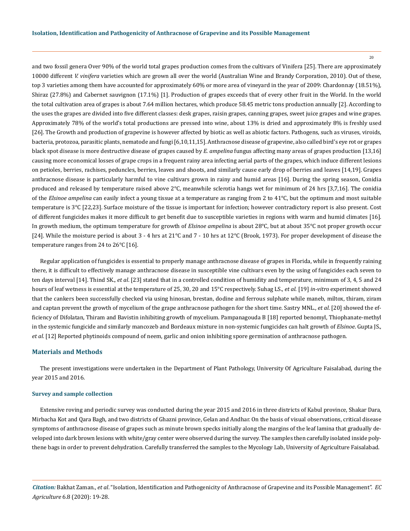20

and two fossil genera Over 90% of the world total grapes production comes from the cultivars of Vinifera [25]. There are approximately 10000 different *V. vinifera* varieties which are grown all over the world (Australian Wine and Brandy Corporation, 2010). Out of these, top 3 varieties among them have accounted for approximately 60% or more area of vineyard in the year of 2009: Chardonnay (18.51%), Shiraz (27.8%) and Cabernet sauvignon (17.1%) [1]. Production of grapes exceeds that of every other fruit in the World. In the world the total cultivation area of grapes is about 7.64 million hectares, which produce 58.45 metric tons production annually [2]. According to the uses the grapes are divided into five different classes: desk grapes, raisin grapes, canning grapes, sweet juice grapes and wine grapes. Approximately 78% of the world's total productions are pressed into wine, about 13% is dried and approximately 8% is freshly used [26]. The Growth and production of grapevine is however affected by biotic as well as abiotic factors. Pathogens, such as viruses, viroids, bacteria, protozoa, parasitic plants, nematode and fungi [6,10,11,15]. Anthracnose disease of grapevine, also called bird's eye rot or grapes black spot disease is more destructive disease of grapes caused by *E. ampelina* fungus affecting many areas of grapes production [13,16] causing more economical losses of grape crops in a frequent rainy area infecting aerial parts of the grapes, which induce different lesions on petioles, berries, rachises, peduncles, berries, leaves and shoots, and similarly cause early drop of berries and leaves [14,19]. Grapes anthracnose disease is particularly harmful to vine cultivars grown in rainy and humid areas [16]. During the spring season, Conidia produced and released by temperature raised above  $2^{\circ}$ C, meanwhile sclerotia hangs wet for minimum of 24 hrs [3,7,16]. The conidia of the *Elsinoe ampelina* can easily infect a young tissue at a temperature as ranging from 2 to 41°C, but the optimum and most suitable temperature is 3°C [22,23]. Surface moisture of the tissue is important for infection; however contradictory report is also present. Cost of different fungicides makes it more difficult to get benefit due to susceptible varieties in regions with warm and humid climates [16]. In growth medium, the optimum temperature for growth of *Elsinoe ampelina* is about 28°C, but at about 35°C not proper growth occur [24]. While the moisture period is about 3 - 4 hrs at 21°C and 7 - 10 hrs at 12°C (Brook, 1973). For proper development of disease the temperature ranges from 24 to 26°C [16].

Regular application of fungicides is essential to properly manage anthracnose disease of grapes in Florida, while in frequently raining there, it is difficult to effectively manage anthracnose disease in susceptible vine cultivars even by the using of fungicides each seven to ten days interval [14]. Thind SK., *et al*. [23] stated that in a controlled condition of humidity and temperature, minimum of 3, 4, 5 and 24 hours of leaf wetness is essential at the temperature of 25, 30, 20 and 15°C respectively. Suhag LS., *et al*. [19] *in-vitro* experiment showed that the cankers been successfully checked via using hinosan, brestan, dodine and ferrous sulphate while maneb, miltox, thiram, ziram and captan prevent the growth of mycelium of the grape anthracnose pathogen for the short time. Sastry MNL., *et al*. [20] showed the efficiency of Difolatan, Thiram and Bavistin inhibiting growth of mycelium. Pampanagouda B [18] reported benomyl, Thiophanate-methyl in the systemic fungicide and similarly mancozeb and Bordeaux mixture in non-systemic fungicides can halt growth of *Elsinoe*. Gupta JS., *et al*. [12] Reported phytinoids compound of neem, garlic and onion inhibiting spore germination of anthracnose pathogen.

### **Materials and Methods**

The present investigations were undertaken in the Department of Plant Pathology, University Of Agriculture Faisalabad, during the year 2015 and 2016.

### **Survey and sample collection**

Extensive roving and periodic survey was conducted during the year 2015 and 2016 in three districts of Kabul province, Shakar Dara, Mirbacha Kot and Qara Bagh, and two districts of Ghazni province, Gelan and Andhar. On the basis of visual observations, critical disease symptoms of anthracnose disease of grapes such as minute brown specks initially along the margins of the leaf lamina that gradually developed into dark brown lesions with white/gray center were observed during the survey. The samples then carefully isolated inside polythene bags in order to prevent dehydration. Carefully transferred the samples to the Mycology Lab, University of Agriculture Faisalabad.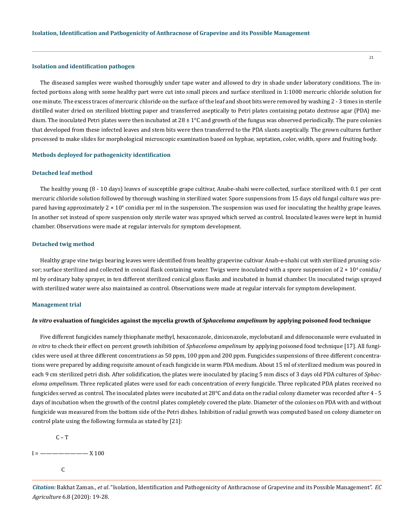#### **Isolation and identification pathogen**

The diseased samples were washed thoroughly under tape water and allowed to dry in shade under laboratory conditions. The infected portions along with some healthy part were cut into small pieces and surface sterilized in 1:1000 mercuric chloride solution for one minute. The excess traces of mercuric chloride on the surface of the leaf and shoot bits were removed by washing 2 - 3 times in sterile distilled water dried on sterilized blotting paper and transferred aseptically to Petri plates containing potato dextrose agar (PDA) medium. The inoculated Petri plates were then incubated at  $28 \pm 1^{\circ}$ C and growth of the fungus was observed periodically. The pure colonies that developed from these infected leaves and stem bits were then transferred to the PDA slants aseptically. The grown cultures further processed to make slides for morphological microscopic examination based on hyphae, septation, color, width, spore and fruiting body.

#### **Methods deployed for pathogenicity identification**

### **Detached leaf method**

The healthy young (8 - 10 days) leaves of susceptible grape cultivar, Anabe-shahi were collected, surface sterilized with 0.1 per cent mercuric chloride solution followed by thorough washing in sterilized water. Spore suspensions from 15 days old fungal culture was prepared having approximately 2  $\times$  10 $^4$  conidia per ml in the suspension. The suspension was used for inoculating the healthy grape leaves. In another set instead of spore suspension only sterile water was sprayed which served as control. Inoculated leaves were kept in humid chamber. Observations were made at regular intervals for symptom development.

#### **Detached twig method**

Healthy grape vine twigs bearing leaves were identified from healthy grapevine cultivar Anab-e-shahi cut with sterilized pruning scissor; surface sterilized and collected in conical flask containing water. Twigs were inoculated with a spore suspension of 2  $\times$  10<sup>4</sup> conidia/ ml by ordinary baby sprayer, in ten different sterilized conical glass flasks and incubated in humid chamber. Un inoculated twigs sprayed with sterilized water were also maintained as control. Observations were made at regular intervals for symptom development.

#### **Management trial**

#### *In vitro* **evaluation of fungicides against the mycelia growth of** *Sphaceloma ampelinum* **by applying poisoned food technique**

Five different fungicides namely thiophanate methyl, hexaconazole, diniconazole, myclobutanil and difenoconazole were evaluated in *in vitro* to check their effect on percent growth inhibition of *Sphaceloma ampelinum* by applying poisoned food technique [17]. All fungicides were used at three different concentrations as 50 ppm, 100 ppm and 200 ppm. Fungicides suspensions of three different concentrations were prepared by adding requisite amount of each fungicide in warm PDA medium. About 15 ml of sterilized medium was poured in each 9 cm sterilized petri dish. After solidification, the plates were inoculated by placing 5 mm discs of 3 days old PDA cultures of *Sphaceloma ampelinum*. Three replicated plates were used for each concentration of every fungicide. Three replicated PDA plates received no fungicides served as control. The inoculated plates were incubated at 28°C and data on the radial colony diameter was recorded after 4 - 5 days of incubation when the growth of the control plates completely covered the plate. Diameter of the colonies on PDA with and without fungicide was measured from the bottom side of the Petri dishes. Inhibition of radial growth was computed based on colony diameter on control plate using the following formula as stated by [21]:

 $C - T$ 

 $I =$   $-- X 100$ 

**C**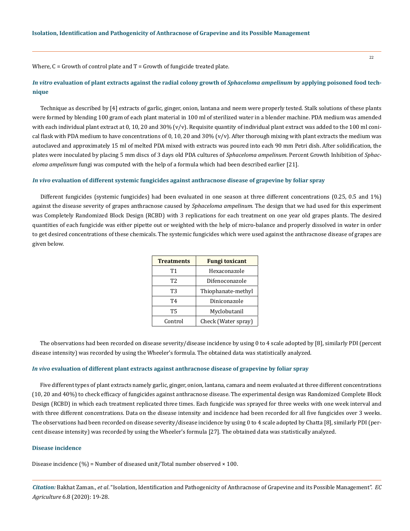Where,  $C =$  Growth of control plate and  $T =$  Growth of fungicide treated plate.

# *In vitro* **evaluation of plant extracts against the radial colony growth of** *Sphaceloma ampelinum* **by applying poisoned food technique**

Technique as described by [4] extracts of garlic, ginger, onion, lantana and neem were properly tested. Stalk solutions of these plants were formed by blending 100 gram of each plant material in 100 ml of sterilized water in a blender machine. PDA medium was amended with each individual plant extract at 0, 10, 20 and 30%  $(v/v)$ . Requisite quantity of individual plant extract was added to the 100 ml conical flask with PDA medium to have concentrations of 0, 10, 20 and 30% ( $v/v$ ). After thorough mixing with plant extracts the medium was autoclaved and approximately 15 ml of melted PDA mixed with extracts was poured into each 90 mm Petri dish. After solidification, the plates were inoculated by placing 5 mm discs of 3 days old PDA cultures of *Sphaceloma ampelinum.* Percent Growth Inhibition of *Sphaceloma ampelinum* fungi was computed with the help of a formula which had been described earlier [21].

### *In vivo* **evaluation of different systemic fungicides against anthracnose disease of grapevine by foliar spray**

Different fungicides (systemic fungicides) had been evaluated in one season at three different concentrations (0.25, 0.5 and 1%) against the disease severity of grapes anthracnose caused by *Sphaceloma ampelinum.* The design that we had used for this experiment was Completely Randomized Block Design (RCBD) with 3 replications for each treatment on one year old grapes plants. The desired quantities of each fungicide was either pipette out or weighted with the help of micro-balance and properly dissolved in water in order to get desired concentrations of these chemicals. The systemic fungicides which were used against the anthracnose disease of grapes are given below.

| <b>Treatments</b> | <b>Fungi toxicant</b> |
|-------------------|-----------------------|
| Т1                | Hexaconazole          |
| T <sub>2</sub>    | Difenoconazole        |
| T3                | Thiophanate-methyl    |
| Т4                | Diniconazole          |
| <b>T5</b>         | Myclobutanil          |
| Control           | Check (Water spray)   |

The observations had been recorded on disease severity/disease incidence by using 0 to 4 scale adopted by [8], similarly PDI (percent disease intensity) was recorded by using the Wheeler's formula. The obtained data was statistically analyzed.

#### *In vivo* **evaluation of different plant extracts against anthracnose disease of grapevine by foliar spray**

Five different types of plant extracts namely garlic, ginger, onion, lantana, camara and neem evaluated at three different concentrations (10, 20 and 40%) to check efficacy of fungicides against anthracnose disease. The experimental design was Randomized Complete Block Design (RCBD) in which each treatment replicated three times. Each fungicide was sprayed for three weeks with one week interval and with three different concentrations. Data on the disease intensity and incidence had been recorded for all five fungicides over 3 weeks. The observations had been recorded on disease severity/disease incidence by using 0 to 4 scale adopted by Chatta [8], similarly PDI (percent disease intensity) was recorded by using the Wheeler's formula [27]. The obtained data was statistically analyzed.

### **Disease incidence**

Disease incidence  $(\%)$  = Number of diseased unit/Total number observed  $\times$  100.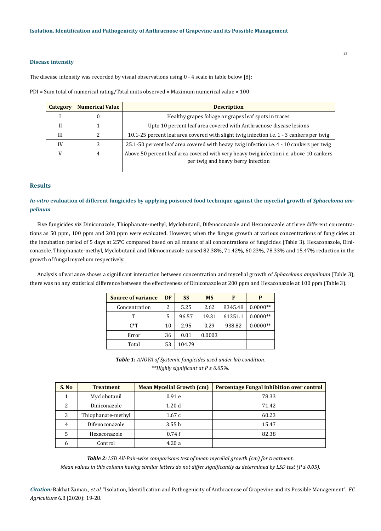## **Disease intensity**

The disease intensity was recorded by visual observations using 0 - 4 scale in table below [8]:

PDI = Sum total of numerical rating/Total units observed  $\times$  Maximum numerical value  $\times$  100

| <b>Category</b> | <b>Numerical Value</b> | <b>Description</b>                                                                                                            |
|-----------------|------------------------|-------------------------------------------------------------------------------------------------------------------------------|
|                 |                        | Healthy grapes foliage or grapes leaf spots in traces                                                                         |
|                 |                        | Upto 10 percent leaf area covered with Anthracnose disease lesions                                                            |
| III             |                        | 10.1-25 percent leaf area covered with slight twig infection i.e. 1 - 3 cankers per twig                                      |
| IV              |                        | 25.1-50 percent leaf area covered with heavy twig infection i.e. 4 - 10 cankers per twig                                      |
|                 | 4                      | Above 50 percent leaf area covered with very heavy twig infection i.e. above 10 cankers<br>per twig and heavy berry infection |

### **Results**

*In-vitro* evaluation of different fungicides by applying poisoned food technique against the mycelial growth of *Sphaceloma ampelinum*

Five fungicides viz Diniconazole, Thiophanate-methyl, Myclobutanil, Difenoconazole and Hexaconazole at three different concentrations as 50 ppm, 100 ppm and 200 ppm were evaluated. However, when the fungus growth at various concentrations of fungicides at the incubation period of 5 days at 25°C compared based on all means of all concentrations of fungicides (Table 3). Hexaconazole, Diniconazole, Thiophanate-methyl, Myclobutanil and Difenoconazole caused 82.38%, 71.42%, 60.23%, 78.33% and 15.47% reduction in the growth of fungal mycelium respectively.

Analysis of variance shows a significant interaction between concentration and mycelial growth of *Sphaceloma ampelinum* (Table 3), there was no any statistical difference between the effectiveness of Diniconazole at 200 ppm and Hexaconazole at 100 ppm (Table 3).

| <b>Source of variance</b> | DF | <b>SS</b> | <b>MS</b> | F       | P          |
|---------------------------|----|-----------|-----------|---------|------------|
| Concentration             | 2  | 5.25      | 2.62      | 8345.48 | $0.0000**$ |
| т                         | 5  | 96.57     | 19.31     | 61351.1 | $0.0000**$ |
| $C^*T$                    | 10 | 2.95      | 0.29      | 938.82  | $0.0000**$ |
| Error                     | 36 | 0.01      | 0.0003    |         |            |
| Total                     | 53 | 104.79    |           |         |            |

*Table 1: ANOVA of Systemic fungicides used under lab condition. \*\*Highly significant at P ≤ 0.05%.*

| S. No | <b>Treatment</b>   | <b>Mean Mycelial Growth (cm)</b> | <b>Percentage Fungal inhibition over control</b> |
|-------|--------------------|----------------------------------|--------------------------------------------------|
|       | Myclobutanil       | 0.91e                            | 78.33                                            |
| 2     | Diniconazole       | 1.20d                            | 71.42                                            |
| 3     | Thiophanate-methyl | 1.67c                            | 60.23                                            |
| 4     | Difenoconazole     | 3.55 <sub>b</sub>                | 15.47                                            |
|       | Hexaconazole       | 0.74f                            | 82.38                                            |
| h     | Control            | 4.20a                            |                                                  |

*Table 2: LSD All-Pair-wise comparisons test of mean mycelial growth (cm) for treatment. Mean values in this column having similar letters do not differ significantly as determined by LSD test (P ≤ 0.05).*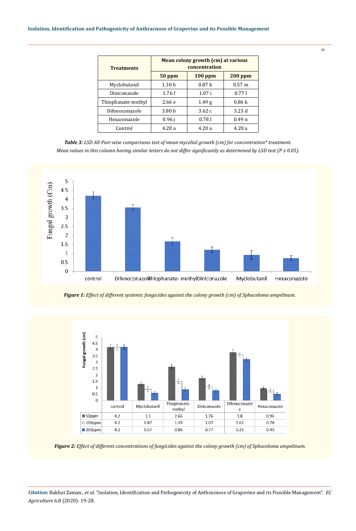| <b>Treatments</b>  | Mean colony growth (cm) at various<br>concentration |                   |                   |  |
|--------------------|-----------------------------------------------------|-------------------|-------------------|--|
|                    | $50$ ppm                                            | $100$ ppm         | $200$ ppm         |  |
| Myclobutanil       | 1.30h                                               | 0.87k             | $0.57 \;{\rm m}$  |  |
| Diniconazole       | 1.76f                                               | 1.07i             | 0.771             |  |
| Thiophanate-methyl | 2.66e                                               | 1.49 <sub>g</sub> | 0.86k             |  |
| Difenoconazole     | 3.80 <sub>b</sub>                                   | 3.62c             | 3.23d             |  |
| Hexaconazole       | 0.96 i                                              | 0.781             | 0.49 <sub>n</sub> |  |
| Control            | 4.20a                                               | 4.20a             | 4.20a             |  |

*Table 3: LSD All-Pair-wise comparisons test of mean mycelial growth (cm) for concentration\* treatment. Mean values in this column having similar letters do not differ significantly as determined by LSD test (P ≤ 0.05).*



*Figure 1: Effect of different systemic fungicides against the colony growth (cm) of Sphaceloma ampelinum.*



*Figure 2: Effect of different concentrations of fungicides against the colony growth (cm) of Sphaceloma ampelinum.*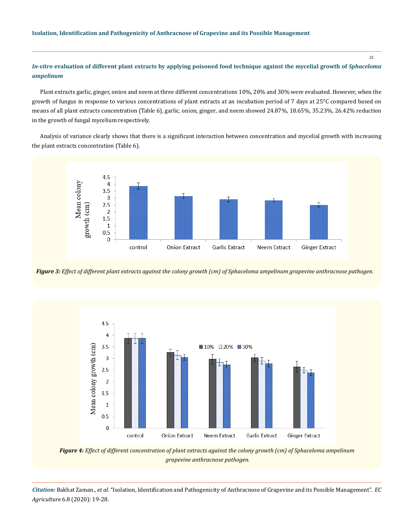25

# *In-vitro* evaluation of different plant extracts by applying poisoned food technique against the mycelial growth of *Sphaceloma ampelinum*

Plant extracts garlic, ginger, onion and neem at three different concentrations 10%, 20% and 30% were evaluated. However, when the growth of fungus in response to various concentrations of plant extracts at an incubation period of 7 days at 25°C compared based on means of all plant extracts concentration (Table 6), garlic*,* onion*,* ginger*,* and neem showed 24.87%, 18.65%, 35.23%, 26.42% reduction in the growth of fungal mycelium respectively.

Analysis of variance clearly shows that there is a significant interaction between concentration and mycelial growth with increasing the plant extracts concentration (Table 6).



*Figure 3: Effect of different plant extracts against the colony growth (cm) of Sphaceloma ampelinum grapevine anthracnose pathogen.*



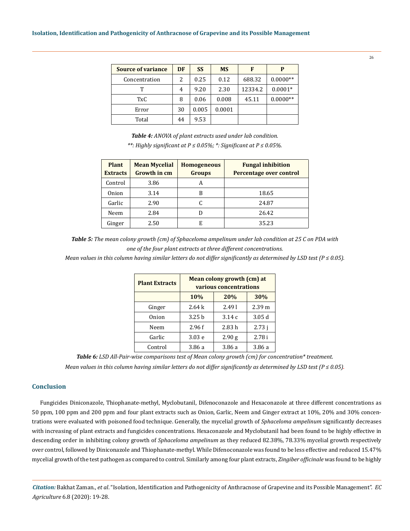| <b>Source of variance</b> | DF | <b>SS</b> | <b>MS</b> | F       | P          |
|---------------------------|----|-----------|-----------|---------|------------|
| Concentration             | 2  | 0.25      | 0.12      | 688.32  | $0.0000**$ |
| Т                         | 4  | 9.20      | 2.30      | 12334.2 | $0.0001*$  |
| TxC                       | 8  | 0.06      | 0.008     | 45.11   | $0.0000**$ |
| Error                     | 30 | 0.005     | 0.0001    |         |            |
| Total                     | 44 | 9.53      |           |         |            |

*Table 4: ANOVA of plant extracts used under lab condition. \*\*: Highly significant at P ≤ 0.05%; \*: Significant at P ≤ 0.05%.*

| <b>Plant</b><br><b>Extracts</b> | <b>Mean Mycelial</b><br><b>Growth in cm</b> | <b>Homogeneous</b><br><b>Groups</b> | <b>Fungal inhibition</b><br>Percentage over control |
|---------------------------------|---------------------------------------------|-------------------------------------|-----------------------------------------------------|
| Control                         | 3.86                                        | А                                   |                                                     |
| Onion                           | 3.14                                        | В                                   | 18.65                                               |
| Garlic                          | 2.90                                        |                                     | 24.87                                               |
| Neem                            | 2.84                                        | D                                   | 26.42                                               |
| Ginger                          | 2.50                                        | E                                   | 35.23                                               |

*Table 5: The mean colony growth (cm) of Sphaceloma ampelinum under lab condition at 25 C on PDA with one of the four plant extracts at three different concentrations.*

*Mean values in this column having similar letters do not differ significantly as determined by LSD test (P ≤ 0.05).*

| <b>Plant Extracts</b> | Mean colony growth (cm) at<br>various concentrations |        |                   |  |  |  |
|-----------------------|------------------------------------------------------|--------|-------------------|--|--|--|
|                       | 20%<br>30%<br>10%                                    |        |                   |  |  |  |
| Ginger                | 2.64k                                                | 2.491  | 2.39 <sub>m</sub> |  |  |  |
| Onion                 | 3.25h                                                | 3.14c  | 3.05d             |  |  |  |
| Neem                  | 2.96f                                                | 2.83h  | 2.73j             |  |  |  |
| Garlic                | 3.03e                                                | 2.90g  | 2.78i             |  |  |  |
| Control               | 3.86 a                                               | 3.86 a | 3.86 a            |  |  |  |

*Table 6: LSD All-Pair-wise comparisons test of Mean colony growth (cm) for concentration\* treatment.*

*Mean values in this column having similar letters do not differ significantly as determined by LSD test (P ≤ 0.05).*

## **Conclusion**

Fungicides Diniconazole, Thiophanate-methyl, Myclobutanil, Difenoconazole and Hexaconazole at three different concentrations as 50 ppm, 100 ppm and 200 ppm and four plant extracts such as Onion, Garlic, Neem and Ginger extract at 10%, 20% and 30% concentrations were evaluated with poisoned food technique. Generally, the mycelial growth of *Sphaceloma ampelinum* significantly decreases with increasing of plant extracts and fungicides concentrations. Hexaconazole and Myclobutanil had been found to be highly effective in descending order in inhibiting colony growth of *Sphaceloma ampelinum* as they reduced 82.38%, 78.33% mycelial growth respectively over control, followed by Diniconazole and Thiophanate-methyl. While Difenoconazole was found to be less effective and reduced 15.47% mycelial growth of the test pathogen as compared to control. Similarly among four plant extracts, *Zingiber officinale* was found to be highly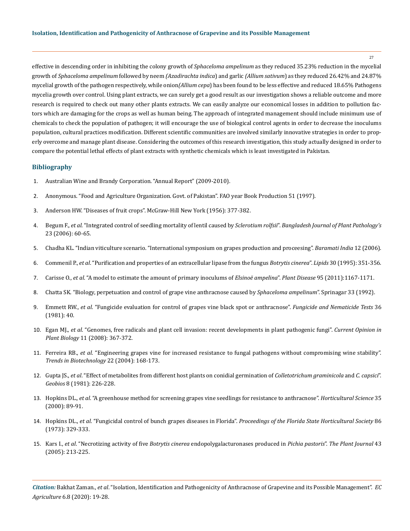27

effective in descending order in inhibiting the colony growth of *Sphaceloma ampelinum* as they reduced 35.23% reduction in the mycelial growth of *Sphaceloma ampelinum* followed by neem *(Azadirachta indica*) and garlic *(Allium sativum*) as they reduced 26.42% and 24.87% mycelial growth of the pathogen respectively, while onion*(Allium cepa*) has been found to be less effective and reduced 18.65% Pathogens mycelia growth over control. Using plant extracts, we can surely get a good result as our investigation shows a reliable outcome and more research is required to check out many other plants extracts. We can easily analyze our economical losses in addition to pollution factors which are damaging for the crops as well as human being. The approach of integrated management should include minimum use of chemicals to check the population of pathogen; it will encourage the use of biological control agents in order to decrease the inoculums population, cultural practices modification. Different scientific communities are involved similarly innovative strategies in order to properly overcome and manage plant disease. Considering the outcomes of this research investigation, this study actually designed in order to compare the potential lethal effects of plant extracts with synthetic chemicals which is least investigated in Pakistan.

### **Bibliography**

- 1. Australian Wine and Brandy Corporation. "Annual Report" (2009-2010).
- 2. Anonymous. "Food and Agriculture Organization. Govt. of Pakistan". FAO year Book Production 51 (1997).
- 3. Anderson HW. "Diseases of fruit crops". McGraw-Hill New York (1956): 377-382.
- 4. Begum F., *et al*[. "Integrated control of seedling mortality of lentil caused by](https://www.cabi.org/ISC/abstract/20093134901) *Sclerotium rolfsii*". *Bangladesh Journal of Plant Pathology's*  [23 \(2006\): 60-65.](https://www.cabi.org/ISC/abstract/20093134901)
- 5. [Chadha KL. "Indian viticulture scenario. "International symposium on grapes production and proceesing".](https://www.ishs.org/ishs-article/785_3) *Baramati India* 12 (2006).
- 6. Commenil P., *et al*[. "Purification and properties of an extracellular lipase from the fungus](https://pubmed.ncbi.nlm.nih.gov/7609604/) *Botrytis cinerea*". *Lipids* 30 (1995): 351-356.
- 7. Carisse O., *et al*[. "A model to estimate the amount of primary inoculums of](https://apsjournals.apsnet.org/doi/10.1094/PDIS-11-10-0798) *Elsinoë ampelina*". *Plant Disease* 95 (2011):1167-1171.
- 8. Chatta SK. "Biology, perpetuation and control of grape vine anthracnose caused by *Sphaceloma ampelinum*". Sprinagar 33 (1992).
- 9. Emmett RW., *et al*. "Fungicide evaluation for control of grapes vine black spot or anthracnose". *Fungicide and Nematicide Tests* 36 (1981): 40.
- 10. Egan MJ., *et al*[. "Genomes, free radicals and plant cell invasion: recent developments in plant pathogenic fungi".](https://www.sciencedirect.com/science/article/pii/S1369526608001015) *Current Opinion in Plant Biology* [11 \(2008\): 367-372.](https://www.sciencedirect.com/science/article/pii/S1369526608001015)
- 11. Ferreira RB., *et al*[. "Engineering grapes vine for increased resistance to fungal pathogens without compromising wine stability".](https://pubmed.ncbi.nlm.nih.gov/15038921/)  *[Trends in Biotechnology](https://pubmed.ncbi.nlm.nih.gov/15038921/)* 22 (2004): 168-173.
- 12. Gupta JS., *et al*. "Effect of metabolites from different host plants on conidial germination of *Colletotrichum graminicola* and *C. capsici*". *Geobios* 8 (1981): 226-228.
- 13. Hopkins DL., *et al*[. "A greenhouse method for screening grapes vine seedlings for resistance to anthracnose".](https://www.researchgate.net/publication/279687672_A_Greenhouse_Method_for_Screening_Grapevine_Seedlings_for_Resistance_to_Anthracnose) *Horticultural Science* 35 [\(2000\): 89-91.](https://www.researchgate.net/publication/279687672_A_Greenhouse_Method_for_Screening_Grapevine_Seedlings_for_Resistance_to_Anthracnose)
- 14. Hopkins DL., *et al*. "Fungicidal control of bunch grapes diseases in Florida". *Proceedings of the Florida State Horticultural Society* 86 (1973): 329-333.
- 15. Kars I., *et al*. "Necrotizing activity of five *Botrytis cinerea* [endopolygalacturonases produced in](https://www.researchgate.net/publication/7746637_Necrotizing_activity_of_five_Botrytis_cinerea_endopolygalacturonases_produced_in_Pichia_pastoris) *Pichia pastoris*". *The Plant Journal* 43 [\(2005\): 213-225.](https://www.researchgate.net/publication/7746637_Necrotizing_activity_of_five_Botrytis_cinerea_endopolygalacturonases_produced_in_Pichia_pastoris)